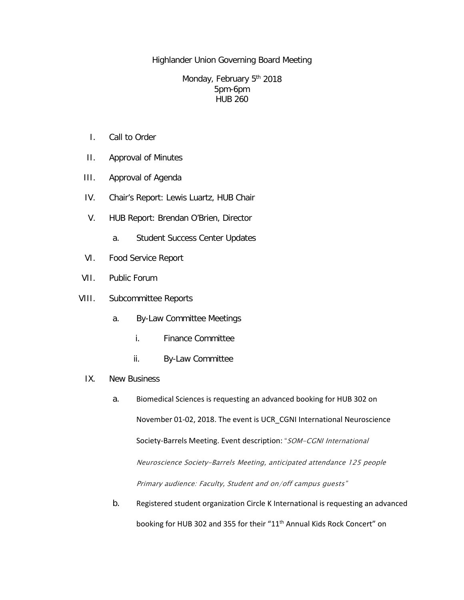Highlander Union Governing Board Meeting

## Monday, February 5<sup>th</sup> 2018 5pm-6pm HUB 260

- I. Call to Order
- II. Approval of Minutes
- III. Approval of Agenda
- IV. Chair's Report: Lewis Luartz, HUB Chair
- V. HUB Report: Brendan O'Brien, Director
	- a. Student Success Center Updates
- VI. Food Service Report
- VII. Public Forum
- VIII. Subcommittee Reports
	- a. By-Law Committee Meetings
		- i. Finance Committee
		- ii. By-Law Committee
	- IX. New Business
		- a. Biomedical Sciences is requesting an advanced booking for HUB 302 on November 01-02, 2018. The event is UCR\_CGNI International Neuroscience Society-Barrels Meeting. Event description: "SOM-CGNI International Neuroscience Society-Barrels Meeting, anticipated attendance 125 people Primary audience: Faculty, Student and on/off campus guests"
		- b. Registered student organization Circle K International is requesting an advanced booking for HUB 302 and 355 for their "11<sup>th</sup> Annual Kids Rock Concert" on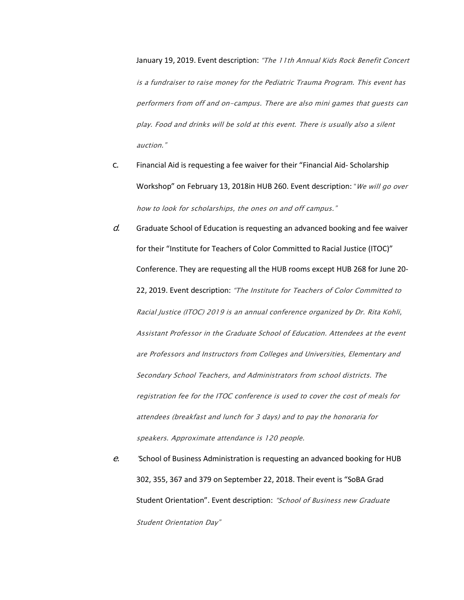January 19, 2019. Event description: "The 11th Annual Kids Rock Benefit Concert is a fundraiser to raise money for the Pediatric Trauma Program. This event has performers from off and on-campus. There are also mini games that guests can play. Food and drinks will be sold at this event. There is usually also a silent auction."

- c. Financial Aid is requesting a fee waiver for their "Financial Aid- Scholarship Workshop" on February 13, 2018in HUB 260. Event description: "We will go over how to look for scholarships, the ones on and off campus."
- $d.$  Graduate School of Education is requesting an advanced booking and fee waiver for their "Institute for Teachers of Color Committed to Racial Justice (ITOC)" Conference. They are requesting all the HUB rooms except HUB 268 for June 20- 22, 2019. Event description: "The Institute for Teachers of Color Committed to Racial Justice (ITOC) 2019 is an annual conference organized by Dr. Rita Kohli, Assistant Professor in the Graduate School of Education. Attendees at the event are Professors and Instructors from Colleges and Universities, Elementary and Secondary School Teachers, and Administrators from school districts. The registration fee for the ITOC conference is used to cover the cost of meals for attendees (breakfast and lunch for 3 days) and to pay the honoraria for speakers. Approximate attendance is 120 people.
- e. "School of Business Administration is requesting an advanced booking for HUB 302, 355, 367 and 379 on September 22, 2018. Their event is "SoBA Grad Student Orientation". Event description: "School of Business new Graduate Student Orientation Day"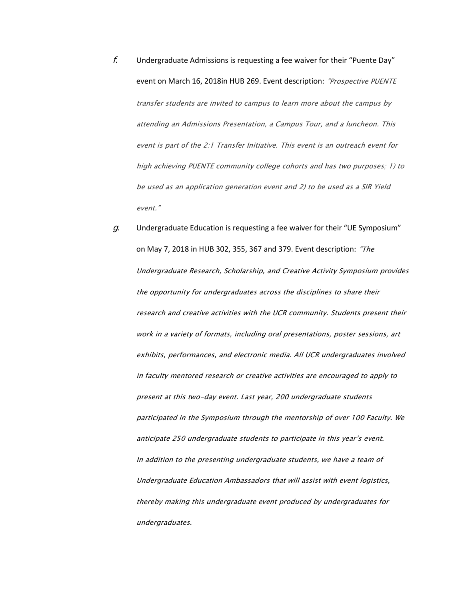- $f.$  Undergraduate Admissions is requesting a fee waiver for their "Puente Day" event on March 16, 2018in HUB 269. Event description: "Prospective PUENTE transfer students are invited to campus to learn more about the campus by attending an Admissions Presentation, a Campus Tour, and a luncheon. This event is part of the 2:1 Transfer Initiative. This event is an outreach event for high achieving PUENTE community college cohorts and has two purposes; 1) to be used as an application generation event and 2) to be used as a SIR Yield event."
- $g.$  Undergraduate Education is requesting a fee waiver for their "UE Symposium" on May 7, 2018 in HUB 302, 355, 367 and 379. Event description: "The Undergraduate Research, Scholarship, and Creative Activity Symposium provides the opportunity for undergraduates across the disciplines to share their research and creative activities with the UCR community. Students present their work in a variety of formats, including oral presentations, poster sessions, art exhibits, performances, and electronic media. All UCR undergraduates involved in faculty mentored research or creative activities are encouraged to apply to present at this two-day event. Last year, 200 undergraduate students participated in the Symposium through the mentorship of over 100 Faculty. We anticipate 250 undergraduate students to participate in this year's event. In addition to the presenting undergraduate students, we have a team of Undergraduate Education Ambassadors that will assist with event logistics, thereby making this undergraduate event produced by undergraduates for undergraduates.